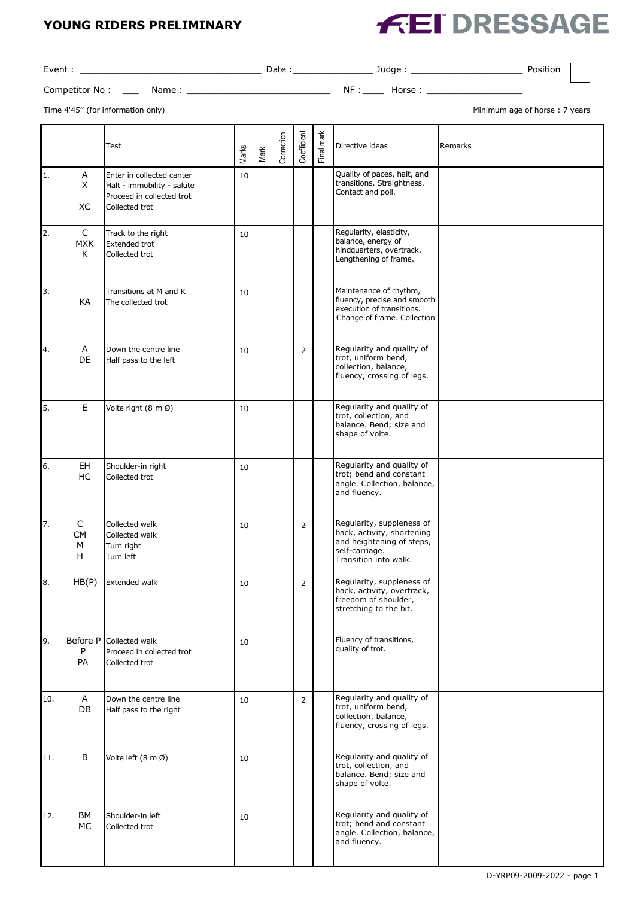## **YOUNG RIDERS PRELIMINARY**



| Event :        |       | Date |     | Judae | Position |  |
|----------------|-------|------|-----|-------|----------|--|
| Competitor No: | Name: |      | NF: | Horse |          |  |

Time 4'45" (for information only) and the state of the state of the state of thorse of horse : 7 years

|                  |                          | <b>Test</b>                                                                                            | Marks | Mark | Correction | Coefficient    | Final mark | Directive ideas                                                                                                                 | Remarks |
|------------------|--------------------------|--------------------------------------------------------------------------------------------------------|-------|------|------------|----------------|------------|---------------------------------------------------------------------------------------------------------------------------------|---------|
| 1.               | A<br>X<br>XC             | Enter in collected canter<br>Halt - immobility - salute<br>Proceed in collected trot<br>Collected trot | 10    |      |            |                |            | Quality of paces, halt, and<br>transitions. Straightness.<br>Contact and poll.                                                  |         |
| $\overline{2}$ . | C<br><b>MXK</b><br>K     | Track to the right<br><b>Extended trot</b><br>Collected trot                                           | 10    |      |            |                |            | Regularity, elasticity,<br>balance, energy of<br>hindquarters, overtrack.<br>Lengthening of frame.                              |         |
| 3.               | KA                       | Transitions at M and K<br>The collected trot                                                           | 10    |      |            |                |            | Maintenance of rhythm,<br>fluency, precise and smooth<br>execution of transitions.<br>Change of frame. Collection               |         |
| 4.               | A<br>DE                  | Down the centre line<br>Half pass to the left                                                          | 10    |      |            | $\overline{2}$ |            | Regularity and quality of<br>trot, uniform bend,<br>collection, balance,<br>fluency, crossing of legs.                          |         |
| 5.               | Е                        | Volte right (8 m Ø)                                                                                    | 10    |      |            |                |            | Regularity and quality of<br>trot, collection, and<br>balance. Bend; size and<br>shape of volte.                                |         |
| 6.               | EH<br>HC                 | Shoulder-in right<br>Collected trot                                                                    | 10    |      |            |                |            | Regularity and quality of<br>trot; bend and constant<br>angle. Collection, balance,<br>and fluency.                             |         |
| 7.               | C<br><b>CM</b><br>M<br>Н | Collected walk<br>Collected walk<br>Turn right<br>Turn left                                            | 10    |      |            | $\overline{2}$ |            | Regularity, suppleness of<br>back, activity, shortening<br>and heightening of steps,<br>self-carriage.<br>Transition into walk. |         |
| 8.               | HB(P)                    | Extended walk                                                                                          | 10    |      |            | $\overline{2}$ |            | Regularity, suppleness of<br>back, activity, overtrack,<br>freedom of shoulder,<br>stretching to the bit.                       |         |
| 9.               | Before P<br>P<br>PA      | Collected walk<br>Proceed in collected trot<br>Collected trot                                          | 10    |      |            |                |            | Fluency of transitions,<br>quality of trot.                                                                                     |         |
| 10.              | A<br>DB                  | Down the centre line<br>Half pass to the right                                                         | 10    |      |            | $\overline{2}$ |            | Regularity and quality of<br>trot, uniform bend,<br>collection, balance,<br>fluency, crossing of legs.                          |         |
| 11.              | B                        | Volte left (8 m Ø)                                                                                     | 10    |      |            |                |            | Regularity and quality of<br>trot, collection, and<br>balance. Bend; size and<br>shape of volte.                                |         |
| 12.              | BM<br>МC                 | Shoulder-in left<br>Collected trot                                                                     | 10    |      |            |                |            | Regularity and quality of<br>trot; bend and constant<br>angle. Collection, balance,<br>and fluency.                             |         |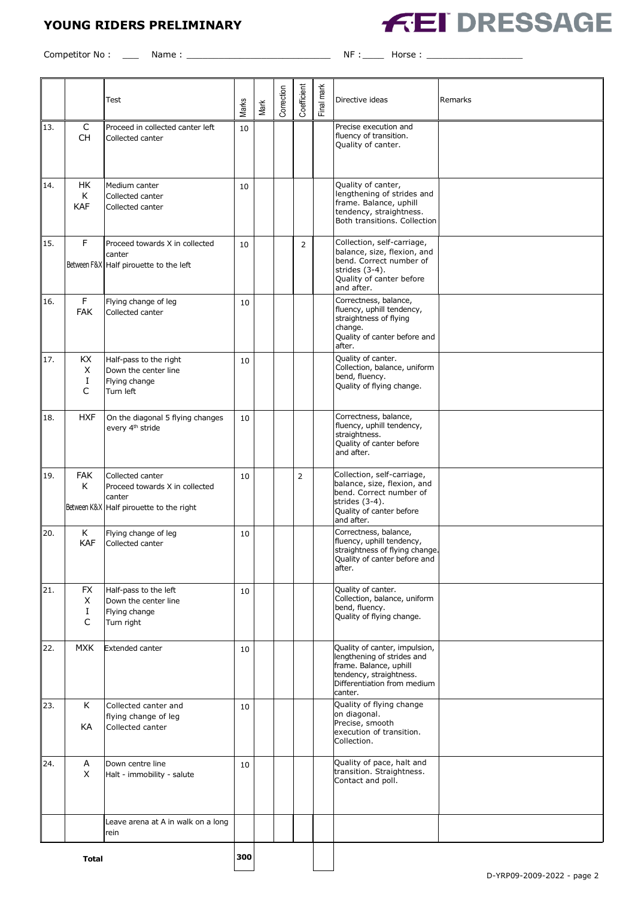# **YOUNG RIDERS PRELIMINARY**



Competitor No : \_\_\_ Name : \_\_\_\_\_\_\_\_\_\_\_\_\_\_\_\_\_\_\_\_\_\_\_\_\_\_\_ NF :\_\_\_\_ Horse : \_\_\_\_\_\_\_\_\_\_\_\_\_\_\_\_\_\_

|              |                           | Test                                                                                                    | Marks | Mark | Correction | Coefficient    | Final mark | Directive ideas                                                                                                                                            | Remarks |
|--------------|---------------------------|---------------------------------------------------------------------------------------------------------|-------|------|------------|----------------|------------|------------------------------------------------------------------------------------------------------------------------------------------------------------|---------|
| 13.          | C<br><b>CH</b>            | Proceed in collected canter left<br>Collected canter                                                    | 10    |      |            |                |            | Precise execution and<br>fluency of transition.<br>Quality of canter.                                                                                      |         |
| 14.          | HK<br>K<br><b>KAF</b>     | Medium canter<br>Collected canter<br>Collected canter                                                   | 10    |      |            |                |            | Quality of canter,<br>lengthening of strides and<br>frame. Balance, uphill<br>tendency, straightness.<br>Both transitions. Collection                      |         |
| 15.          | F                         | Proceed towards X in collected<br>canter<br>Between F&X Half pirouette to the left                      | 10    |      |            | $\overline{2}$ |            | Collection, self-carriage,<br>balance, size, flexion, and<br>bend. Correct number of<br>strides (3-4).<br>Quality of canter before<br>and after.           |         |
| 16.          | F<br><b>FAK</b>           | Flying change of leg<br>Collected canter                                                                | 10    |      |            |                |            | Correctness, balance,<br>fluency, uphill tendency,<br>straightness of flying<br>change.<br>Quality of canter before and<br>after.                          |         |
| 17.          | KX<br>X<br>I<br>C         | Half-pass to the right<br>Down the center line<br>Flying change<br>Turn left                            | 10    |      |            |                |            | Quality of canter.<br>Collection, balance, uniform<br>bend, fluency.<br>Quality of flying change.                                                          |         |
| 18.          | <b>HXF</b>                | On the diagonal 5 flying changes<br>every 4 <sup>th</sup> stride                                        | 10    |      |            |                |            | Correctness, balance,<br>fluency, uphill tendency,<br>straightness.<br>Quality of canter before<br>and after.                                              |         |
| 19.          | <b>FAK</b><br>K           | Collected canter<br>Proceed towards X in collected<br>canter<br>Between K&X Half pirouette to the right | 10    |      |            | 2              |            | Collection, self-carriage,<br>balance, size, flexion, and<br>bend. Correct number of<br>strides (3-4).<br>Quality of canter before<br>and after.           |         |
| 20.          | Κ<br><b>KAF</b>           | Flying change of leg<br>Collected canter                                                                | 10    |      |            |                |            | Correctness, balance,<br>fluency, uphill tendency,<br>straightness of flying change.<br>Quality of canter before and<br>after.                             |         |
| 21.          | <b>FX</b><br>Χ<br>Ι.<br>C | Half-pass to the left<br>Down the center line<br>Flying change<br>Turn right                            | 10    |      |            |                |            | Quality of canter.<br>Collection, balance, uniform<br>bend, fluency.<br>Quality of flying change.                                                          |         |
| 22.          | <b>MXK</b>                | <b>Extended canter</b>                                                                                  | 10    |      |            |                |            | Quality of canter, impulsion,<br>lengthening of strides and<br>frame. Balance, uphill<br>tendency, straightness.<br>Differentiation from medium<br>canter. |         |
| 23.          | K<br>КA                   | Collected canter and<br>flying change of leg<br>Collected canter                                        | 10    |      |            |                |            | Quality of flying change<br>on diagonal.<br>Precise, smooth<br>execution of transition.<br>Collection.                                                     |         |
| 24.          | A<br>X                    | Down centre line<br>Halt - immobility - salute                                                          | 10    |      |            |                |            | Quality of pace, halt and<br>transition. Straightness.<br>Contact and poll.                                                                                |         |
|              |                           | Leave arena at A in walk on a long<br>rein                                                              |       |      |            |                |            |                                                                                                                                                            |         |
| <b>Total</b> |                           |                                                                                                         | 300   |      |            |                |            |                                                                                                                                                            |         |